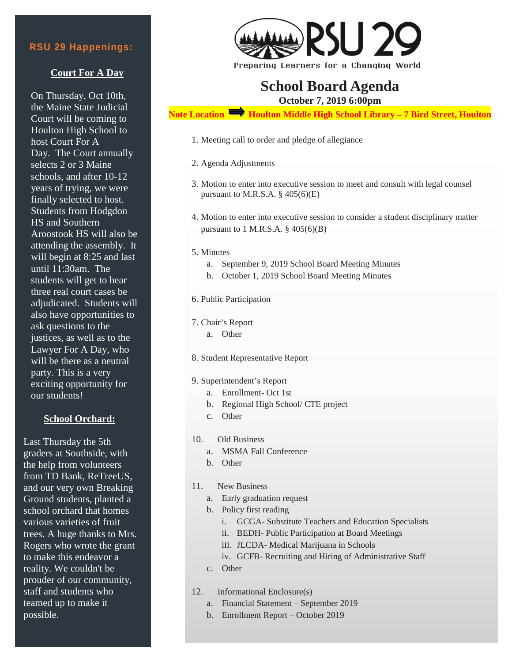### **Court For A Day**

On Thursday, Oct 10th, the Maine State Judicial Court will be coming to Houlton High School to host Court For A Day. The Court annually selects 2 or 3 Maine schools, and after 10-12 years of trying, we were finally selected to host. Students from Hodgdon HS and Southern Aroostook HS will also be attending the assembly. It will begin at 8:25 and last until 11:30am. The students will get to hear three real court cases be adjudicated. Students will also have opportunities to ask questions to the justices, as well as to the Lawyer For A Day, who will be there as a neutral party. This is a very exciting opportunity for our students!

## **School Orchard:**

Last Thursday the 5th graders at Southside, with the help from volunteers from TD Bank, ReTreeUS, and our very own Breaking Ground students, planted a school orchard that homes various varieties of fruit trees. A huge thanks to Mrs. Rogers who wrote the grant to make this endeavor a reality. We couldn't be prouder of our community, staff and students who teamed up to make it possible.



## Preparing Learners for a Changing World

# **School Board Agenda**

**October 7, 2019 6:00pm**

**Note Location <b>Houlton Middle High School Library** – 7 Bird Street, Houlton

- 1. Meeting call to order and pledge of allegiance
- 2. Agenda Adjustments
- 3. Motion to enter into executive session to meet and consult with legal counsel pursuant to M.R.S.A.  $\S$  405(6)(E)
- 4. Motion to enter into executive session to consider a student disciplinary matter pursuant to 1 M.R.S.A.  $\S$  405(6)(B)
- 5. Minutes
	- a. September 9, 2019 School Board Meeting Minutes
	- b. October 1, 2019 School Board Meeting Minutes
- 6. Public Participation
- 7. Chair's Report
	- a. Other
- 8. Student Representative Report
- 9. Superintendent's Report
	- a. Enrollment- Oct 1st
	- b. Regional High School/ CTE project
	- c. Other
- 10. Old Business
	- a. MSMA Fall Conference
	- b. Other
- 11. New Business
	- a. Early graduation request
	- b. Policy first reading
		- i. GCGA- Substitute Teachers and Education Specialists
		- ii. BEDH- Public Participation at Board Meetings
		- iii. JLCDA- Medical Marijuana in Schools
		- iv. GCFB- Recruiting and Hiring of Administrative Staff
	- c. Other
- 12. Informational Enclosure(s)
	- a. Financial Statement September 2019
	- b. Enrollment Report October 2019